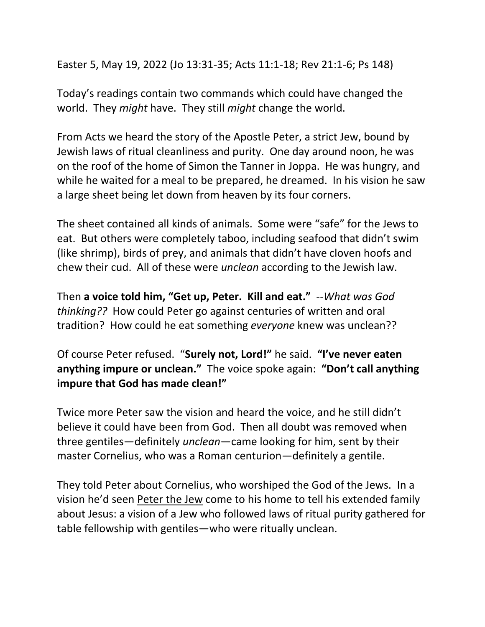Easter 5, May 19, 2022 (Jo 13:31-35; Acts 11:1-18; Rev 21:1-6; Ps 148)

Today's readings contain two commands which could have changed the world. They *might* have. They still *might* change the world.

From Acts we heard the story of the Apostle Peter, a strict Jew, bound by Jewish laws of ritual cleanliness and purity. One day around noon, he was on the roof of the home of Simon the Tanner in Joppa. He was hungry, and while he waited for a meal to be prepared, he dreamed. In his vision he saw a large sheet being let down from heaven by its four corners.

The sheet contained all kinds of animals. Some were "safe" for the Jews to eat. But others were completely taboo, including seafood that didn't swim (like shrimp), birds of prey, and animals that didn't have cloven hoofs and chew their cud. All of these were *unclean* according to the Jewish law.

Then **a voice told him, "Get up, Peter. Kill and eat."** --*What was God thinking??* How could Peter go against centuries of written and oral tradition? How could he eat something *everyone* knew was unclean??

Of course Peter refused. "**Surely not, Lord!"** he said. **"I've never eaten anything impure or unclean."** The voice spoke again: **"Don't call anything impure that God has made clean!"** 

Twice more Peter saw the vision and heard the voice, and he still didn't believe it could have been from God. Then all doubt was removed when three gentiles—definitely *unclean*—came looking for him, sent by their master Cornelius, who was a Roman centurion—definitely a gentile.

They told Peter about Cornelius, who worshiped the God of the Jews. In a vision he'd seen Peter the Jew come to his home to tell his extended family about Jesus: a vision of a Jew who followed laws of ritual purity gathered for table fellowship with gentiles—who were ritually unclean.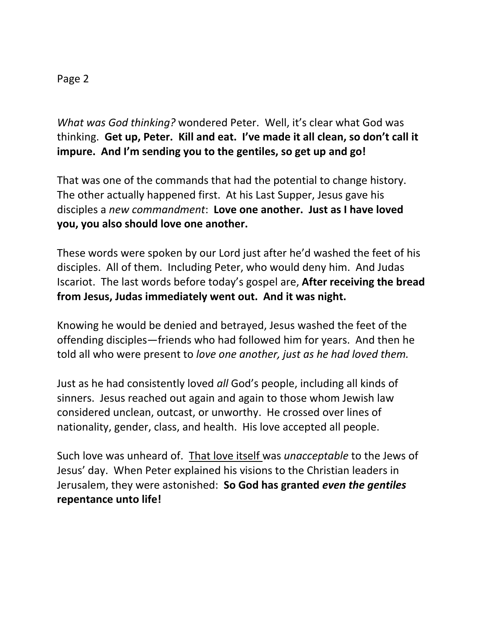## Page 2

*What was God thinking?* wondered Peter. Well, it's clear what God was thinking. **Get up, Peter. Kill and eat. I've made it all clean, so don't call it impure. And I'm sending you to the gentiles, so get up and go!**

That was one of the commands that had the potential to change history. The other actually happened first. At his Last Supper, Jesus gave his disciples a *new commandment*: **Love one another. Just as I have loved you, you also should love one another.**

These words were spoken by our Lord just after he'd washed the feet of his disciples. All of them. Including Peter, who would deny him. And Judas Iscariot. The last words before today's gospel are, **After receiving the bread from Jesus, Judas immediately went out. And it was night.**

Knowing he would be denied and betrayed, Jesus washed the feet of the offending disciples—friends who had followed him for years. And then he told all who were present to *love one another, just as he had loved them.* 

Just as he had consistently loved *all* God's people, including all kinds of sinners. Jesus reached out again and again to those whom Jewish law considered unclean, outcast, or unworthy. He crossed over lines of nationality, gender, class, and health. His love accepted all people.

Such love was unheard of. That love itself was *unacceptable* to the Jews of Jesus' day. When Peter explained his visions to the Christian leaders in Jerusalem, they were astonished: **So God has granted** *even the gentiles* **repentance unto life!**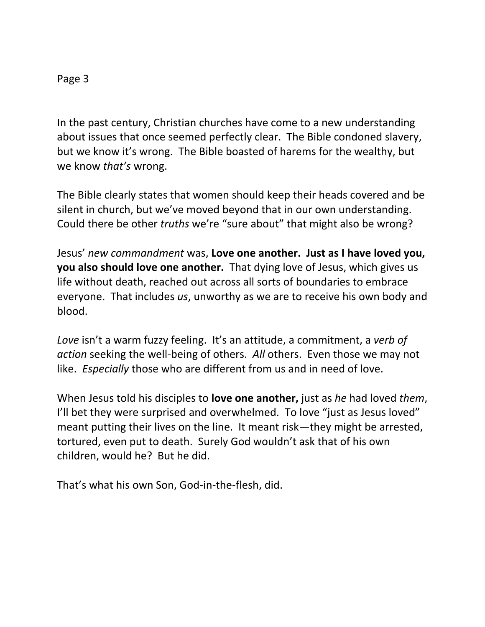## Page 3

In the past century, Christian churches have come to a new understanding about issues that once seemed perfectly clear. The Bible condoned slavery, but we know it's wrong. The Bible boasted of harems for the wealthy, but we know *that's* wrong.

The Bible clearly states that women should keep their heads covered and be silent in church, but we've moved beyond that in our own understanding. Could there be other *truths* we're "sure about" that might also be wrong?

Jesus' *new commandment* was, **Love one another. Just as I have loved you, you also should love one another.** That dying love of Jesus, which gives us life without death, reached out across all sorts of boundaries to embrace everyone. That includes *us*, unworthy as we are to receive his own body and blood.

*Love* isn't a warm fuzzy feeling. It's an attitude, a commitment, a *verb of action* seeking the well-being of others. *All* others. Even those we may not like. *Especially* those who are different from us and in need of love.

When Jesus told his disciples to **love one another,** just as *he* had loved *them*, I'll bet they were surprised and overwhelmed. To love "just as Jesus loved" meant putting their lives on the line. It meant risk—they might be arrested, tortured, even put to death. Surely God wouldn't ask that of his own children, would he? But he did.

That's what his own Son, God-in-the-flesh, did.